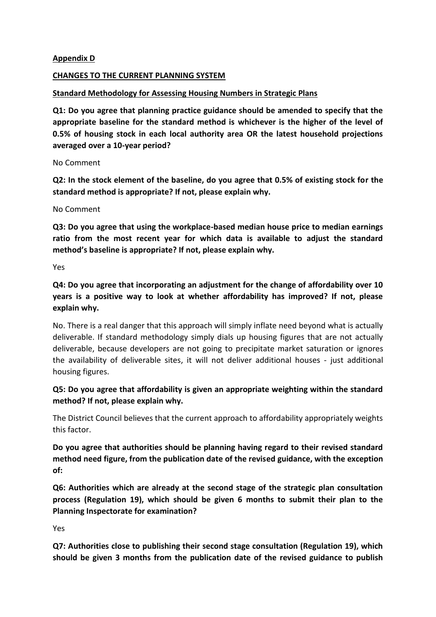## **Appendix D**

### **CHANGES TO THE CURRENT PLANNING SYSTEM**

#### **Standard Methodology for Assessing Housing Numbers in Strategic Plans**

**Q1: Do you agree that planning practice guidance should be amended to specify that the appropriate baseline for the standard method is whichever is the higher of the level of 0.5% of housing stock in each local authority area OR the latest household projections averaged over a 10-year period?**

#### No Comment

**Q2: In the stock element of the baseline, do you agree that 0.5% of existing stock for the standard method is appropriate? If not, please explain why.**

#### No Comment

**Q3: Do you agree that using the workplace-based median house price to median earnings ratio from the most recent year for which data is available to adjust the standard method's baseline is appropriate? If not, please explain why.**

Yes

# **Q4: Do you agree that incorporating an adjustment for the change of affordability over 10 years is a positive way to look at whether affordability has improved? If not, please explain why.**

No. There is a real danger that this approach will simply inflate need beyond what is actually deliverable. If standard methodology simply dials up housing figures that are not actually deliverable, because developers are not going to precipitate market saturation or ignores the availability of deliverable sites, it will not deliver additional houses - just additional housing figures.

# **Q5: Do you agree that affordability is given an appropriate weighting within the standard method? If not, please explain why.**

The District Council believes that the current approach to affordability appropriately weights this factor.

**Do you agree that authorities should be planning having regard to their revised standard method need figure, from the publication date of the revised guidance, with the exception of:**

**Q6: Authorities which are already at the second stage of the strategic plan consultation process (Regulation 19), which should be given 6 months to submit their plan to the Planning Inspectorate for examination?**

Yes

**Q7: Authorities close to publishing their second stage consultation (Regulation 19), which should be given 3 months from the publication date of the revised guidance to publish**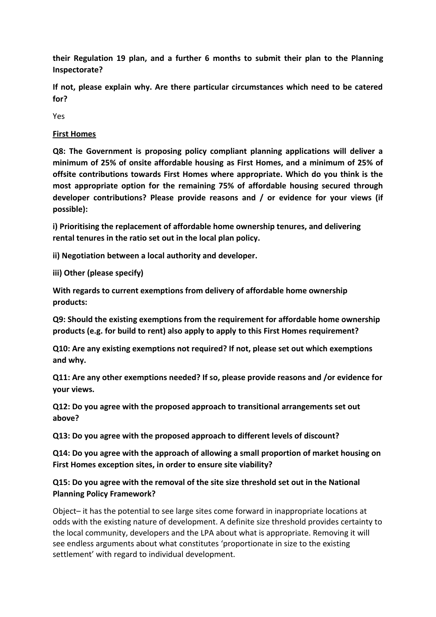**their Regulation 19 plan, and a further 6 months to submit their plan to the Planning Inspectorate?**

**If not, please explain why. Are there particular circumstances which need to be catered for?**

Yes

### **First Homes**

**Q8: The Government is proposing policy compliant planning applications will deliver a minimum of 25% of onsite affordable housing as First Homes, and a minimum of 25% of offsite contributions towards First Homes where appropriate. Which do you think is the most appropriate option for the remaining 75% of affordable housing secured through developer contributions? Please provide reasons and / or evidence for your views (if possible):**

**i) Prioritising the replacement of affordable home ownership tenures, and delivering rental tenures in the ratio set out in the local plan policy.**

**ii) Negotiation between a local authority and developer.**

```
iii) Other (please specify)
```
**With regards to current exemptions from delivery of affordable home ownership products:**

**Q9: Should the existing exemptions from the requirement for affordable home ownership products (e.g. for build to rent) also apply to apply to this First Homes requirement?**

**Q10: Are any existing exemptions not required? If not, please set out which exemptions and why.**

**Q11: Are any other exemptions needed? If so, please provide reasons and /or evidence for your views.**

**Q12: Do you agree with the proposed approach to transitional arrangements set out above?**

**Q13: Do you agree with the proposed approach to different levels of discount?**

**Q14: Do you agree with the approach of allowing a small proportion of market housing on First Homes exception sites, in order to ensure site viability?**

## **Q15: Do you agree with the removal of the site size threshold set out in the National Planning Policy Framework?**

Object– it has the potential to see large sites come forward in inappropriate locations at odds with the existing nature of development. A definite size threshold provides certainty to the local community, developers and the LPA about what is appropriate. Removing it will see endless arguments about what constitutes 'proportionate in size to the existing settlement' with regard to individual development.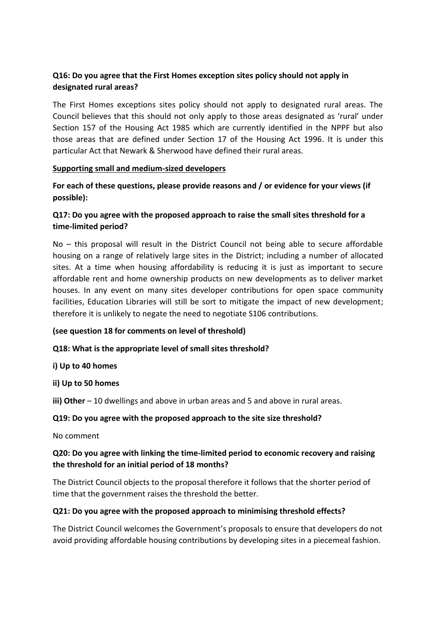# **Q16: Do you agree that the First Homes exception sites policy should not apply in designated rural areas?**

The First Homes exceptions sites policy should not apply to designated rural areas. The Council believes that this should not only apply to those areas designated as 'rural' under Section 157 of the Housing Act 1985 which are currently identified in the NPPF but also those areas that are defined under Section 17 of the Housing Act 1996. It is under this particular Act that Newark & Sherwood have defined their rural areas.

### **Supporting small and medium-sized developers**

**For each of these questions, please provide reasons and / or evidence for your views (if possible):**

# **Q17: Do you agree with the proposed approach to raise the small sites threshold for a time-limited period?**

No – this proposal will result in the District Council not being able to secure affordable housing on a range of relatively large sites in the District; including a number of allocated sites. At a time when housing affordability is reducing it is just as important to secure affordable rent and home ownership products on new developments as to deliver market houses. In any event on many sites developer contributions for open space community facilities, Education Libraries will still be sort to mitigate the impact of new development; therefore it is unlikely to negate the need to negotiate S106 contributions.

## **(see question 18 for comments on level of threshold)**

## **Q18: What is the appropriate level of small sites threshold?**

## **i) Up to 40 homes**

## **ii) Up to 50 homes**

**iii) Other** – 10 dwellings and above in urban areas and 5 and above in rural areas.

## **Q19: Do you agree with the proposed approach to the site size threshold?**

## No comment

## **Q20: Do you agree with linking the time-limited period to economic recovery and raising the threshold for an initial period of 18 months?**

The District Council objects to the proposal therefore it follows that the shorter period of time that the government raises the threshold the better.

## **Q21: Do you agree with the proposed approach to minimising threshold effects?**

The District Council welcomes the Government's proposals to ensure that developers do not avoid providing affordable housing contributions by developing sites in a piecemeal fashion.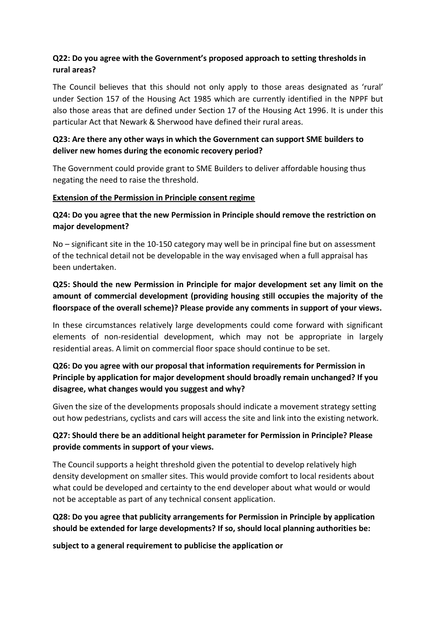## **Q22: Do you agree with the Government's proposed approach to setting thresholds in rural areas?**

The Council believes that this should not only apply to those areas designated as 'rural' under Section 157 of the Housing Act 1985 which are currently identified in the NPPF but also those areas that are defined under Section 17 of the Housing Act 1996. It is under this particular Act that Newark & Sherwood have defined their rural areas.

# **Q23: Are there any other ways in which the Government can support SME builders to deliver new homes during the economic recovery period?**

The Government could provide grant to SME Builders to deliver affordable housing thus negating the need to raise the threshold.

### **Extension of the Permission in Principle consent regime**

# **Q24: Do you agree that the new Permission in Principle should remove the restriction on major development?**

No – significant site in the 10-150 category may well be in principal fine but on assessment of the technical detail not be developable in the way envisaged when a full appraisal has been undertaken.

# **Q25: Should the new Permission in Principle for major development set any limit on the amount of commercial development (providing housing still occupies the majority of the floorspace of the overall scheme)? Please provide any comments in support of your views.**

In these circumstances relatively large developments could come forward with significant elements of non-residential development, which may not be appropriate in largely residential areas. A limit on commercial floor space should continue to be set.

# **Q26: Do you agree with our proposal that information requirements for Permission in Principle by application for major development should broadly remain unchanged? If you disagree, what changes would you suggest and why?**

Given the size of the developments proposals should indicate a movement strategy setting out how pedestrians, cyclists and cars will access the site and link into the existing network.

# **Q27: Should there be an additional height parameter for Permission in Principle? Please provide comments in support of your views.**

The Council supports a height threshold given the potential to develop relatively high density development on smaller sites. This would provide comfort to local residents about what could be developed and certainty to the end developer about what would or would not be acceptable as part of any technical consent application.

## **Q28: Do you agree that publicity arrangements for Permission in Principle by application should be extended for large developments? If so, should local planning authorities be:**

**subject to a general requirement to publicise the application or**